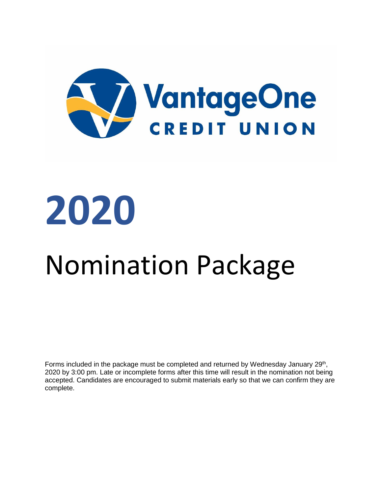

# **2020**

# Nomination Package

Forms included in the package must be completed and returned by Wednesday January 29<sup>th</sup>, 2020 by 3:00 pm. Late or incomplete forms after this time will result in the nomination not being accepted. Candidates are encouraged to submit materials early so that we can confirm they are complete.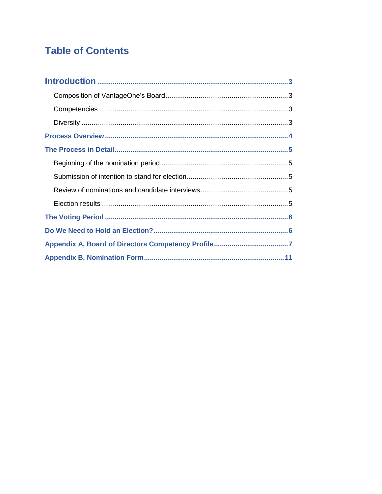### **Table of Contents**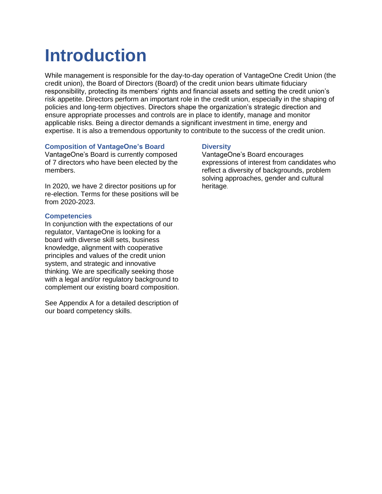# **Introduction**

While management is responsible for the day-to-day operation of VantageOne Credit Union (the credit union), the Board of Directors (Board) of the credit union bears ultimate fiduciary responsibility, protecting its members' rights and financial assets and setting the credit union's risk appetite. Directors perform an important role in the credit union, especially in the shaping of policies and long-term objectives. Directors shape the organization's strategic direction and ensure appropriate processes and controls are in place to identify, manage and monitor applicable risks. Being a director demands a significant investment in time, energy and expertise. It is also a tremendous opportunity to contribute to the success of the credit union.

#### **Composition of VantageOne's Board**

VantageOne's Board is currently composed of 7 directors who have been elected by the members.

In 2020, we have 2 director positions up for re-election. Terms for these positions will be from 2020-2023.

#### **Competencies**

In conjunction with the expectations of our regulator, VantageOne is looking for a board with diverse skill sets, business knowledge, alignment with cooperative principles and values of the credit union system, and strategic and innovative thinking. We are specifically seeking those with a legal and/or regulatory background to complement our existing board composition.

See Appendix A for a detailed description of our board competency skills.

#### **Diversity**

VantageOne's Board encourages expressions of interest from candidates who reflect a diversity of backgrounds, problem solving approaches, gender and cultural heritage.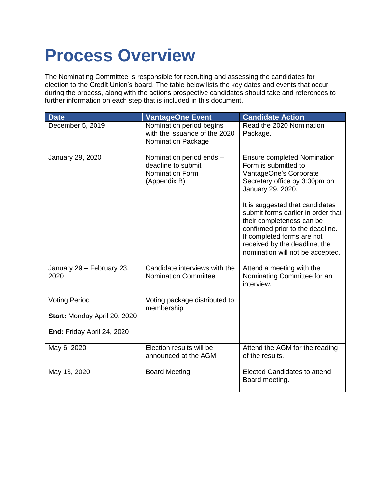# **Process Overview**

The Nominating Committee is responsible for recruiting and assessing the candidates for election to the Credit Union's board. The table below lists the key dates and events that occur during the process, along with the actions prospective candidates should take and references to further information on each step that is included in this document.

| <b>Date</b>                       | <b>VantageOne Event</b>                                                                | <b>Candidate Action</b>                                                                                                                                                                                                                                                                                                                                                                 |
|-----------------------------------|----------------------------------------------------------------------------------------|-----------------------------------------------------------------------------------------------------------------------------------------------------------------------------------------------------------------------------------------------------------------------------------------------------------------------------------------------------------------------------------------|
| December 5, 2019                  | Nomination period begins<br>with the issuance of the 2020<br><b>Nomination Package</b> | Read the 2020 Nomination<br>Package.                                                                                                                                                                                                                                                                                                                                                    |
| January 29, 2020                  | Nomination period ends -<br>deadline to submit<br>Nomination Form<br>(Appendix B)      | <b>Ensure completed Nomination</b><br>Form is submitted to<br>VantageOne's Corporate<br>Secretary office by 3:00pm on<br>January 29, 2020.<br>It is suggested that candidates<br>submit forms earlier in order that<br>their completeness can be<br>confirmed prior to the deadline.<br>If completed forms are not<br>received by the deadline, the<br>nomination will not be accepted. |
| January 29 - February 23,<br>2020 | Candidate interviews with the<br><b>Nomination Committee</b>                           | Attend a meeting with the<br>Nominating Committee for an<br>interview.                                                                                                                                                                                                                                                                                                                  |
| <b>Voting Period</b>              | Voting package distributed to<br>membership                                            |                                                                                                                                                                                                                                                                                                                                                                                         |
| Start: Monday April 20, 2020      |                                                                                        |                                                                                                                                                                                                                                                                                                                                                                                         |
| End: Friday April 24, 2020        |                                                                                        |                                                                                                                                                                                                                                                                                                                                                                                         |
| May 6, 2020                       | Election results will be<br>announced at the AGM                                       | Attend the AGM for the reading<br>of the results.                                                                                                                                                                                                                                                                                                                                       |
| May 13, 2020                      | <b>Board Meeting</b>                                                                   | <b>Elected Candidates to attend</b><br>Board meeting.                                                                                                                                                                                                                                                                                                                                   |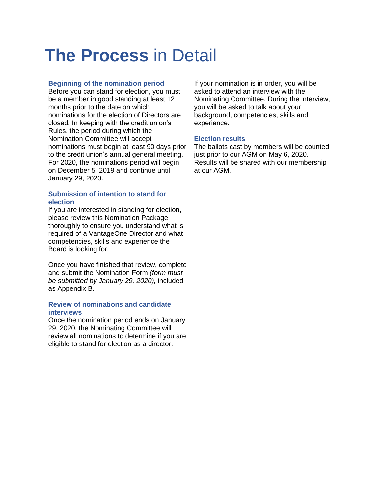# **The Process** in Detail

#### **Beginning of the nomination period**

Before you can stand for election, you must be a member in good standing at least 12 months prior to the date on which nominations for the election of Directors are closed. In keeping with the credit union's Rules, the period during which the Nomination Committee will accept nominations must begin at least 90 days prior to the credit union's annual general meeting. For 2020, the nominations period will begin on December 5, 2019 and continue until January 29, 2020.

#### **Submission of intention to stand for election**

If you are interested in standing for election, please review this Nomination Package thoroughly to ensure you understand what is required of a VantageOne Director and what competencies, skills and experience the Board is looking for.

Once you have finished that review, complete and submit the Nomination Form *(form must be submitted by January 29, 2020),* included as Appendix B.

#### **Review of nominations and candidate interviews**

Once the nomination period ends on January 29, 2020, the Nominating Committee will review all nominations to determine if you are eligible to stand for election as a director.

If your nomination is in order, you will be asked to attend an interview with the Nominating Committee. During the interview, you will be asked to talk about your background, competencies, skills and experience.

#### **Election results**

The ballots cast by members will be counted just prior to our AGM on May 6, 2020. Results will be shared with our membership at our AGM.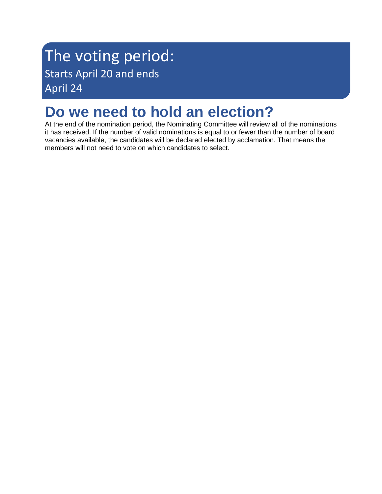# The voting period: Starts April 20 and ends April 24

# **Do we need to hold an election?**

At the end of the nomination period, the Nominating Committee will review all of the nominations it has received. If the number of valid nominations is equal to or fewer than the number of board vacancies available, the candidates will be declared elected by acclamation. That means the members will not need to vote on which candidates to select.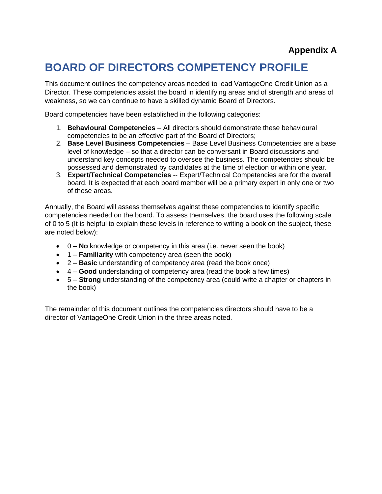### **Appendix A**

### **BOARD OF DIRECTORS COMPETENCY PROFILE**

This document outlines the competency areas needed to lead VantageOne Credit Union as a Director. These competencies assist the board in identifying areas and of strength and areas of weakness, so we can continue to have a skilled dynamic Board of Directors.

Board competencies have been established in the following categories:

- 1. **Behavioural Competencies** All directors should demonstrate these behavioural competencies to be an effective part of the Board of Directors;
- 2. **Base Level Business Competencies** Base Level Business Competencies are a base level of knowledge – so that a director can be conversant in Board discussions and understand key concepts needed to oversee the business. The competencies should be possessed and demonstrated by candidates at the time of election or within one year.
- 3. **Expert/Technical Competencies** -- Expert/Technical Competencies are for the overall board. It is expected that each board member will be a primary expert in only one or two of these areas.

Annually, the Board will assess themselves against these competencies to identify specific competencies needed on the board. To assess themselves, the board uses the following scale of 0 to 5 (It is helpful to explain these levels in reference to writing a book on the subject, these are noted below):

- 0 **No** knowledge or competency in this area (i.e. never seen the book)
- 1 **Familiarity** with competency area (seen the book)
- 2 **Basic** understanding of competency area (read the book once)
- 4 **Good** understanding of competency area (read the book a few times)
- 5 **Strong** understanding of the competency area (could write a chapter or chapters in the book)

The remainder of this document outlines the competencies directors should have to be a director of VantageOne Credit Union in the three areas noted.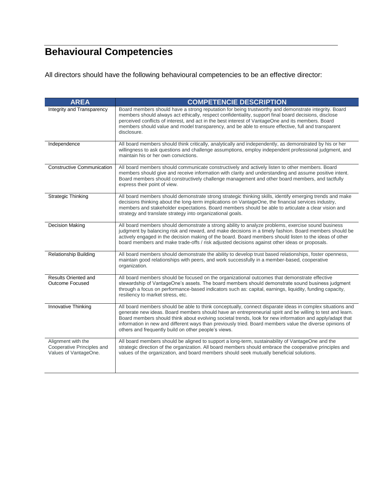## **Behavioural Competencies**

All directors should have the following behavioural competencies to be an effective director:

| <b>AREA</b>                                                               | <b>COMPETENCIE DESCRIPTION</b>                                                                                                                                                                                                                                                                                                                                                                                                                                                                         |
|---------------------------------------------------------------------------|--------------------------------------------------------------------------------------------------------------------------------------------------------------------------------------------------------------------------------------------------------------------------------------------------------------------------------------------------------------------------------------------------------------------------------------------------------------------------------------------------------|
| Integrity and Transparency                                                | Board members should have a strong reputation for being trustworthy and demonstrate integrity. Board<br>members should always act ethically, respect confidentiality, support final board decisions, disclose<br>perceived conflicts of interest, and act in the best interest of VantageOne and its members. Board<br>members should value and model transparency, and be able to ensure effective, full and transparent<br>disclosure.                                                               |
| Independence                                                              | All board members should think critically, analytically and independently, as demonstrated by his or her<br>willingness to ask questions and challenge assumptions, employ independent professional judgment, and<br>maintain his or her own convictions.                                                                                                                                                                                                                                              |
| <b>Constructive Communication</b>                                         | All board members should communicate constructively and actively listen to other members. Board<br>members should give and receive information with clarity and understanding and assume positive intent.<br>Board members should constructively challenge management and other board members, and tactfully<br>express their point of view.                                                                                                                                                           |
| <b>Strategic Thinking</b>                                                 | All board members should demonstrate strong strategic thinking skills, identify emerging trends and make<br>decisions thinking about the long-term implications on VantageOne, the financial services industry,<br>members and stakeholder expectations. Board members should be able to articulate a clear vision and<br>strategy and translate strategy into organizational goals.                                                                                                                   |
| <b>Decision Making</b>                                                    | All board members should demonstrate a strong ability to analyze problems, exercise sound business<br>judgment by balancing risk and reward, and make decisions in a timely fashion. Board members should be<br>actively engaged in the decision making of the board. Board members should listen to the ideas of other<br>board members and make trade-offs / risk adjusted decisions against other ideas or proposals.                                                                               |
| <b>Relationship Building</b>                                              | All board members should demonstrate the ability to develop trust based relationships, foster openness,<br>maintain good relationships with peers, and work successfully in a member-based, cooperative<br>organization.                                                                                                                                                                                                                                                                               |
| <b>Results Oriented and</b><br><b>Outcome Focused</b>                     | All board members should be focused on the organizational outcomes that demonstrate effective<br>stewardship of VantageOne's assets. The board members should demonstrate sound business judgment<br>through a focus on performance-based indicators such as: capital, earnings, liquidity, funding capacity,<br>resiliency to market stress, etc.                                                                                                                                                     |
| Innovative Thinking                                                       | All board members should be able to think conceptually, connect disparate ideas in complex situations and<br>generate new ideas. Board members should have an entrepreneurial spirit and be willing to test and learn.<br>Board members should think about evolving societal trends, look for new information and apply/adapt that<br>information in new and different ways than previously tried. Board members value the diverse opinions of<br>others and frequently build on other people's views. |
| Alignment with the<br>Cooperative Principles and<br>Values of VantageOne. | All board members should be aligned to support a long-term, sustainability of VantageOne and the<br>strategic direction of the organization. All board members should embrace the cooperative principles and<br>values of the organization, and board members should seek mutually beneficial solutions.                                                                                                                                                                                               |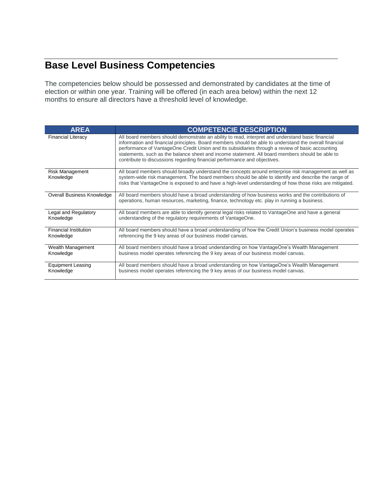### **Base Level Business Competencies**

The competencies below should be possessed and demonstrated by candidates at the time of election or within one year. Training will be offered (in each area below) within the next 12 months to ensure all directors have a threshold level of knowledge.

| <b>AREA</b>                         | <b>COMPETENCIE DESCRIPTION</b>                                                                                                                                                                                                                                                                                                                                                                                                                                                                  |
|-------------------------------------|-------------------------------------------------------------------------------------------------------------------------------------------------------------------------------------------------------------------------------------------------------------------------------------------------------------------------------------------------------------------------------------------------------------------------------------------------------------------------------------------------|
| <b>Financial Literacy</b>           | All board members should demonstrate an ability to read, interpret and understand basic financial<br>information and financial principles. Board members should be able to understand the overall financial<br>performance of VantageOne Credit Union and its subsidiaries through a review of basic accounting<br>statements, such as the balance sheet and income statement. All board members should be able to<br>contribute to discussions regarding financial performance and objectives. |
| <b>Risk Management</b><br>Knowledge | All board members should broadly understand the concepts around enterprise risk management as well as<br>system-wide risk management. The board members should be able to identify and describe the range of<br>risks that VantageOne is exposed to and have a high-level understanding of how those risks are mitigated.                                                                                                                                                                       |
| <b>Overall Business Knowledge</b>   | All board members should have a broad understanding of how business works and the contributions of<br>operations, human resources, marketing, finance, technology etc. play in running a business.                                                                                                                                                                                                                                                                                              |
| Legal and Regulatory                | All board members are able to identify general legal risks related to VantageOne and have a general                                                                                                                                                                                                                                                                                                                                                                                             |
| Knowledge                           | understanding of the regulatory requirements of VantageOne.                                                                                                                                                                                                                                                                                                                                                                                                                                     |
| <b>Financial Institution</b>        | All board members should have a broad understanding of how the Credit Union's business model operates                                                                                                                                                                                                                                                                                                                                                                                           |
| Knowledge                           | referencing the 9 key areas of our business model canvas.                                                                                                                                                                                                                                                                                                                                                                                                                                       |
| Wealth Management                   | All board members should have a broad understanding on how VantageOne's Wealth Management                                                                                                                                                                                                                                                                                                                                                                                                       |
| Knowledge                           | business model operates referencing the 9 key areas of our business model canvas.                                                                                                                                                                                                                                                                                                                                                                                                               |
| <b>Equipment Leasing</b>            | All board members should have a broad understanding on how VantageOne's Wealth Management                                                                                                                                                                                                                                                                                                                                                                                                       |
| Knowledge                           | business model operates referencing the 9 key areas of our business model canvas.                                                                                                                                                                                                                                                                                                                                                                                                               |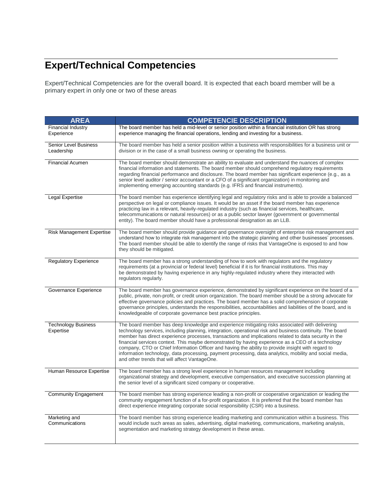## **Expert/Technical Competencies**

Expert/Technical Competencies are for the overall board. It is expected that each board member will be a primary expert in only one or two of these areas

| <b>AREA</b>                                | <b>COMPETENCIE DESCRIPTION</b>                                                                                                                                                                                                                                                                                                                                                                                                                                                                                                                                                                                                                                                              |  |  |
|--------------------------------------------|---------------------------------------------------------------------------------------------------------------------------------------------------------------------------------------------------------------------------------------------------------------------------------------------------------------------------------------------------------------------------------------------------------------------------------------------------------------------------------------------------------------------------------------------------------------------------------------------------------------------------------------------------------------------------------------------|--|--|
| Financial Industry                         | The board member has held a mid-level or senior position within a financial institution OR has strong                                                                                                                                                                                                                                                                                                                                                                                                                                                                                                                                                                                       |  |  |
| Experience                                 | experience managing the financial operations, lending and investing for a business.                                                                                                                                                                                                                                                                                                                                                                                                                                                                                                                                                                                                         |  |  |
| <b>Senior Level Business</b><br>Leadership | The board member has held a senior position within a business with responsibilities for a business unit or<br>division or in the case of a small business owning or operating the business.                                                                                                                                                                                                                                                                                                                                                                                                                                                                                                 |  |  |
| Financial Acumen                           | The board member should demonstrate an ability to evaluate and understand the nuances of complex<br>financial information and statements. The board member should comprehend regulatory requirements<br>regarding financial performance and disclosure. The board member has significant experience (e.g., as a<br>senior level auditor / senior accountant or a CFO of a significant organization) in monitoring and<br>implementing emerging accounting standards (e.g. IFRS and financial instruments).                                                                                                                                                                                  |  |  |
| Legal Expertise                            | The board member has experience identifying legal and regulatory risks and is able to provide a balanced<br>perspective on legal or compliance issues. It would be an asset if the board member has experience<br>practicing law in a relevant, heavily-regulated industry (such as financial services, healthcare,<br>telecommunications or natural resources) or as a public sector lawyer (government or governmental<br>entity). The board member should have a professional designation as an LLB.                                                                                                                                                                                     |  |  |
| <b>Risk Management Expertise</b>           | The board member should provide guidance and governance oversight of enterprise risk management and<br>understand how to integrate risk management into the strategic planning and other businesses' processes.<br>The board member should be able to identify the range of risks that VantageOne is exposed to and how<br>they should be mitigated.                                                                                                                                                                                                                                                                                                                                        |  |  |
| <b>Regulatory Experience</b>               | The board member has a strong understanding of how to work with regulators and the regulatory<br>requirements (at a provincial or federal level) beneficial if it is for financial institutions. This may<br>be demonstrated by having experience in any highly-regulated industry where they interacted with<br>regulators regularly.                                                                                                                                                                                                                                                                                                                                                      |  |  |
| Governance Experience                      | The board member has governance experience, demonstrated by significant experience on the board of a<br>public, private, non-profit, or credit union organization. The board member should be a strong advocate for<br>effective governance policies and practices. The board member has a solid comprehension of corporate<br>governance principles, understands the responsibilities, accountabilities and liabilities of the board, and is<br>knowledgeable of corporate governance best practice principles.                                                                                                                                                                            |  |  |
| <b>Technology Business</b><br>Expertise    | The board member has deep knowledge and experience mitigating risks associated with delivering<br>technology services, including planning, integration, operational risk and business continuity. The board<br>member has direct experience processes, transactions and implications related to data security in the<br>financial services context. This maybe demonstrated by having experience as a CEO of a technology<br>company, CTO or Chief Information Officer and having the ability to provide insight with regard to<br>information technology, data processing, payment processing, data analytics, mobility and social media,<br>and other trends that will affect VantageOne. |  |  |
| Human Resource Expertise                   | The board member has a strong level experience in human resources management including<br>organizational strategy and development, executive compensation, and executive succession planning at<br>the senior level of a significant sized company or cooperative.                                                                                                                                                                                                                                                                                                                                                                                                                          |  |  |
| <b>Community Engagement</b>                | The board member has strong experience leading a non-profit or cooperative organization or leading the<br>community engagement function of a for-profit organization. It is preferred that the board member has<br>direct experience integrating corporate social responsibility (CSR) into a business.                                                                                                                                                                                                                                                                                                                                                                                     |  |  |
| Marketing and<br>Communications            | The board member has strong experience leading marketing and communication within a business. This<br>would include such areas as sales, advertising, digital marketing, communications, marketing analysis,<br>segmentation and marketing strategy development in these areas.                                                                                                                                                                                                                                                                                                                                                                                                             |  |  |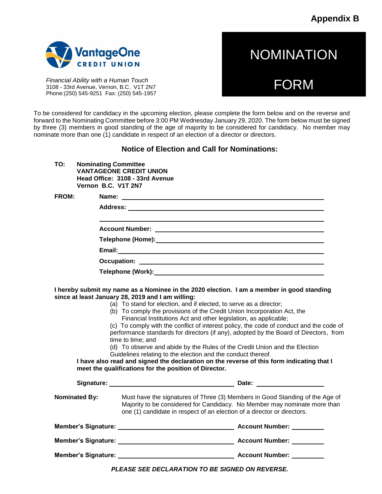**Appendix B**

**NOMINATION** 

FORM



*Financial Ability with a Human Touch* 3108 - 33rd Avenue, Vernon, B.C. V1T 2N7 Phone:(250) 545-9251 Fax: (250) 545-1957

To be considered for candidacy in the upcoming election, please complete the form below and on the reverse and forward to the Nominating Committee before 3:00 PM Wednesday January 29, 2020. The form below must be signed by three (3) members in good standing of the age of majority to be considered for candidacy. No member may nominate more than one (1) candidate in respect of an election of a director or directors.

#### **Notice of Election and Call for Nominations:**

**TO: Nominating Committee VANTAGEONE CREDIT UNION Head Office: 3108 - 33rd Avenue Vernon B.C. V1T 2N7**

**FROM: Name: Address: Account Number: Telephone (Home): Email: Occupation: Telephone (Work):**

**I hereby submit my name as a Nominee in the 2020 election. I am a member in good standing since at least January 28, 2019 and I am willing:**

| (a) To stand for election, and if elected, to serve as a director;<br>(b) To comply the provisions of the Credit Union Incorporation Act, the<br>Financial Institutions Act and other legislation, as applicable;<br>(c) To comply with the conflict of interest policy, the code of conduct and the code of<br>performance standards for directors (if any), adopted by the Board of Directors, from<br>time to time; and<br>(d) To observe and abide by the Rules of the Credit Union and the Election<br>Guidelines relating to the election and the conduct thereof.<br>I have also read and signed the declaration on the reverse of this form indicating that I<br>meet the qualifications for the position of Director. |                                                                                                                                                                                                                                      |  |  |  |
|--------------------------------------------------------------------------------------------------------------------------------------------------------------------------------------------------------------------------------------------------------------------------------------------------------------------------------------------------------------------------------------------------------------------------------------------------------------------------------------------------------------------------------------------------------------------------------------------------------------------------------------------------------------------------------------------------------------------------------|--------------------------------------------------------------------------------------------------------------------------------------------------------------------------------------------------------------------------------------|--|--|--|
|                                                                                                                                                                                                                                                                                                                                                                                                                                                                                                                                                                                                                                                                                                                                |                                                                                                                                                                                                                                      |  |  |  |
| <b>Nominated By:</b>                                                                                                                                                                                                                                                                                                                                                                                                                                                                                                                                                                                                                                                                                                           | Must have the signatures of Three (3) Members in Good Standing of the Age of<br>Majority to be considered for Candidacy. No Member may nominate more than<br>one (1) candidate in respect of an election of a director or directors. |  |  |  |
|                                                                                                                                                                                                                                                                                                                                                                                                                                                                                                                                                                                                                                                                                                                                |                                                                                                                                                                                                                                      |  |  |  |
|                                                                                                                                                                                                                                                                                                                                                                                                                                                                                                                                                                                                                                                                                                                                |                                                                                                                                                                                                                                      |  |  |  |
|                                                                                                                                                                                                                                                                                                                                                                                                                                                                                                                                                                                                                                                                                                                                |                                                                                                                                                                                                                                      |  |  |  |

*PLEASE SEE DECLARATION TO BE SIGNED ON REVERSE.*